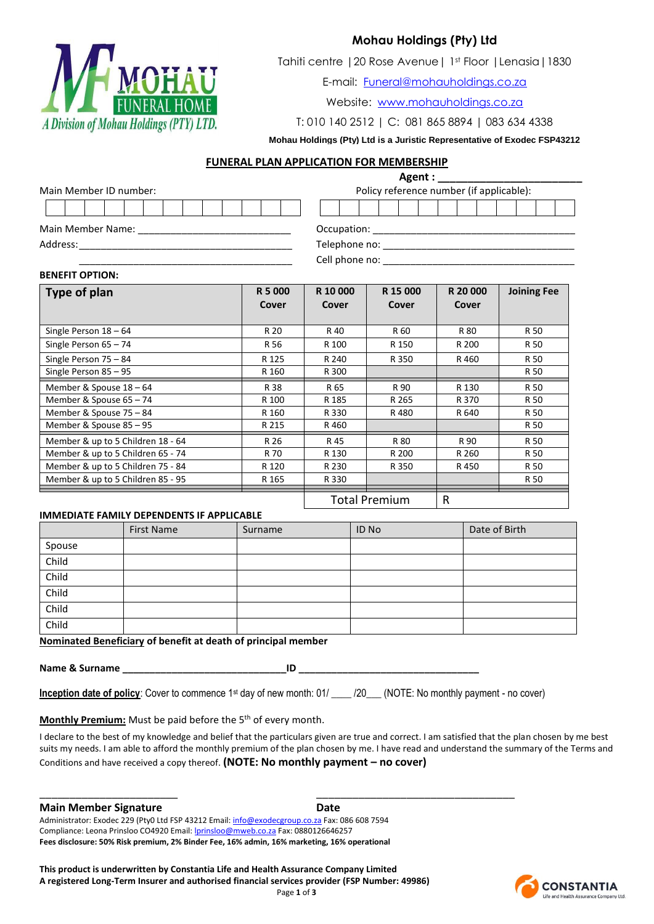

# **Mohau Holdings (Pty) Ltd**

Tahiti centre |20 Rose Avenue| 1st Floor |Lenasia|1830

E-mail: [Funeral@mohauholdings.co.za](mailto:Funeral@mohauholdings.co.za)

Website: [www.mohauholdings.co.za](http://www.mohauholdings.co.za/) 

T: 010 140 2512 | C: 081 865 8894 | 083 634 4338

# **Mohau Holdings (Pty) Ltd is a Juristic Representative of Exodec FSP43212**

## **FUNERAL PLAN APPLICATION FOR MEMBERSHIP**

|                         |  |  |  |  |  |  |                                          |  |  |  |                |  |  |  |  |  |  | Agent : New York Street Street Street Street Street Street Street Street Street Street Street Street Street Street Street Street Street Street Street Street Street Street Street Street Street Street Street Street Street St |  |  |  |
|-------------------------|--|--|--|--|--|--|------------------------------------------|--|--|--|----------------|--|--|--|--|--|--|--------------------------------------------------------------------------------------------------------------------------------------------------------------------------------------------------------------------------------|--|--|--|
| Main Member ID number:  |  |  |  |  |  |  | Policy reference number (if applicable): |  |  |  |                |  |  |  |  |  |  |                                                                                                                                                                                                                                |  |  |  |
|                         |  |  |  |  |  |  |                                          |  |  |  |                |  |  |  |  |  |  |                                                                                                                                                                                                                                |  |  |  |
| Main Member Name: Names |  |  |  |  |  |  |                                          |  |  |  | Occupation:    |  |  |  |  |  |  |                                                                                                                                                                                                                                |  |  |  |
| Address:                |  |  |  |  |  |  | Telephone no:                            |  |  |  |                |  |  |  |  |  |  |                                                                                                                                                                                                                                |  |  |  |
|                         |  |  |  |  |  |  |                                          |  |  |  | Cell phone no: |  |  |  |  |  |  |                                                                                                                                                                                                                                |  |  |  |

## **BENEFIT OPTION:**

| Type of plan                      | R 5 000<br>Cover | R 10 000<br>Cover | R 15 000<br>Cover | R 20 000<br>Cover | <b>Joining Fee</b> |
|-----------------------------------|------------------|-------------------|-------------------|-------------------|--------------------|
| Single Person $18 - 64$           | R 20             | R 40              | R 60              | R 80              | R 50               |
| Single Person $65 - 74$           | R 56             | R 100             | R 150             | R 200             | R 50               |
| Single Person $75 - 84$           | R 125            | R 240             | R 350             | R 460             | R 50               |
| Single Person 85 - 95             | R 160            | R 300             |                   |                   | R 50               |
| Member & Spouse 18 - 64           | R 38             | R 65              | R 90              | R 130             | R 50               |
| Member & Spouse 65 - 74           | R 100            | R 185             | R 265             | R 370             | R 50               |
| Member & Spouse 75 - 84           | R 160            | R 330             | R480              | R 640             | R 50               |
| Member & Spouse 85 - 95           | R 215            | R 460             |                   |                   | R 50               |
| Member & up to 5 Children 18 - 64 | R 26             | R 45              | R 80              | R 90              | R 50               |
| Member & up to 5 Children 65 - 74 | R 70             | R 130             | R 200             | R 260             | R 50               |
| Member & up to 5 Children 75 - 84 | R 120            | R 230             | R 350             | R 450             | R 50               |
| Member & up to 5 Children 85 - 95 | R 165            | R 330             |                   |                   | R 50               |
|                                   |                  |                   | Total Premium     | R                 |                    |

## **IMMEDIATE FAMILY DEPENDENTS IF APPLICABLE**

ital Premium <sub>R</sub>

|        | <b>First Name</b> | Surname | ID No | Date of Birth |
|--------|-------------------|---------|-------|---------------|
| Spouse |                   |         |       |               |
| Child  |                   |         |       |               |
| Child  |                   |         |       |               |
| Child  |                   |         |       |               |
| Child  |                   |         |       |               |
| Child  |                   |         |       |               |

**Nominated Beneficiary of benefit at death of principal member**

**Name & Surname \_\_\_\_\_\_\_\_\_\_\_\_\_\_\_\_\_\_\_\_\_\_\_\_\_\_\_\_\_\_ID \_\_\_\_\_\_\_\_\_\_\_\_\_\_\_\_\_\_\_\_\_\_\_\_\_\_\_\_\_\_\_\_\_**

| <b>Inception date of policy:</b> Cover to commence 1 <sup>st</sup> day of new month: 01/ |  | _/20___ (NOTE: No monthly payment - no cover) |
|------------------------------------------------------------------------------------------|--|-----------------------------------------------|
|                                                                                          |  |                                               |

\_\_\_\_\_\_\_\_\_\_\_\_\_\_\_\_\_\_\_\_\_\_\_ \_\_\_\_\_\_\_\_\_\_\_\_\_\_\_\_\_\_\_\_\_\_\_\_\_\_\_\_\_\_\_\_\_

## **Monthly Premium:** Must be paid before the 5<sup>th</sup> of every month.

I declare to the best of my knowledge and belief that the particulars given are true and correct. I am satisfied that the plan chosen by me best suits my needs. I am able to afford the monthly premium of the plan chosen by me. I have read and understand the summary of the Terms and Conditions and have received a copy thereof. **(NOTE: No monthly payment – no cover)**

## **Main Member Signature Date**

Administrator: Exodec 229 (Pty0 Ltd FSP 43212 Email[: info@exodecgroup.co.za](mailto:info@exodecgroup.co.za) Fax: 086 608 7594 Compliance: Leona Prinsloo CO4920 Email: *lprinsloo@mweb.co.za* Fax: 0880126646257 **Fees disclosure: 50% Risk premium, 2% Binder Fee, 16% admin, 16% marketing, 16% operational** 

**This product is underwritten by Constantia Life and Health Assurance Company Limited A registered Long-Term Insurer and authorised financial services provider (FSP Number: 49986)** Page **1** of **3**

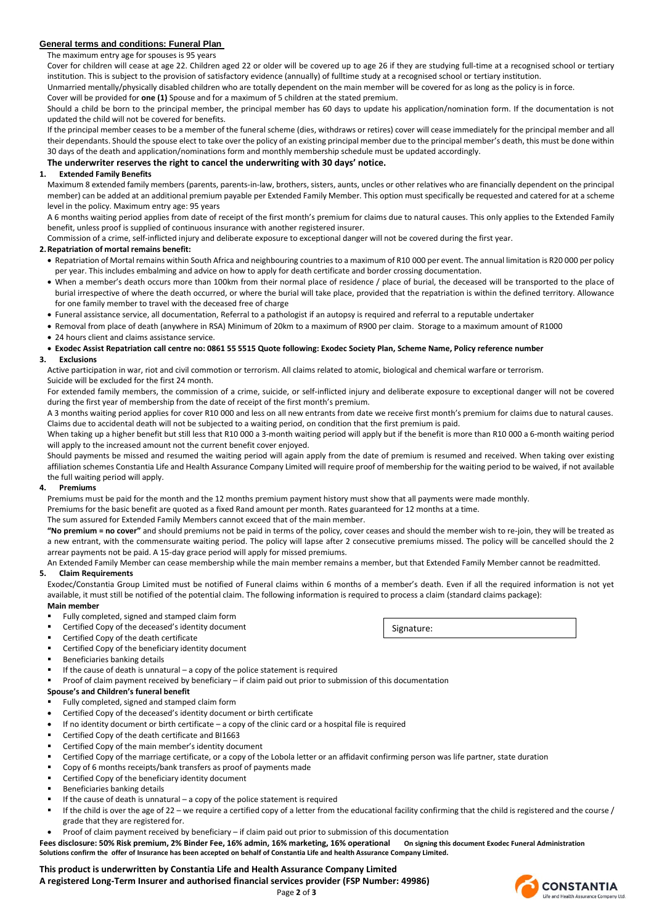## **General terms and conditions: Funeral Plan**

### The maximum entry age for spouses is 95 years

Cover for children will cease at age 22. Children aged 22 or older will be covered up to age 26 if they are studying full-time at a recognised school or tertiary institution. This is subject to the provision of satisfactory evidence (annually) of fulltime study at a recognised school or tertiary institution.

Unmarried mentally/physically disabled children who are totally dependent on the main member will be covered for as long as the policy is in force.

Cover will be provided for **one (1)** Spouse and for a maximum of 5 children at the stated premium.

Should a child be born to the principal member, the principal member has 60 days to update his application/nomination form. If the documentation is not updated the child will not be covered for benefits.

If the principal member ceases to be a member of the funeral scheme (dies, withdraws or retires) cover will cease immediately for the principal member and all their dependants. Should the spouse elect to take over the policy of an existing principal member due to the principal member's death, this must be done within 30 days of the death and application/nominations form and monthly membership schedule must be updated accordingly.

### **The underwriter reserves the right to cancel the underwriting with 30 days' notice.**

### **1. Extended Family Benefits**

Maximum 8 extended family members (parents, parents-in-law, brothers, sisters, aunts, uncles or other relatives who are financially dependent on the principal member) can be added at an additional premium payable per Extended Family Member. This option must specifically be requested and catered for at a scheme level in the policy. Maximum entry age: 95 years

A 6 months waiting period applies from date of receipt of the first month's premium for claims due to natural causes. This only applies to the Extended Family benefit, unless proof is supplied of continuous insurance with another registered insurer.

Commission of a crime, self-inflicted injury and deliberate exposure to exceptional danger will not be covered during the first year.

#### **2.Repatriation of mortal remains benefit:**

- Repatriation of Mortal remains within South Africa and neighbouring countries to a maximum of R10 000 per event. The annual limitation is R20 000 per policy per year. This includes embalming and advice on how to apply for death certificate and border crossing documentation.
- When a member's death occurs more than 100km from their normal place of residence / place of burial, the deceased will be transported to the place of burial irrespective of where the death occurred, or where the burial will take place, provided that the repatriation is within the defined territory. Allowance for one family member to travel with the deceased free of charge
- Funeral assistance service, all documentation, Referral to a pathologist if an autopsy is required and referral to a reputable undertaker
- Removal from place of death (anywhere in RSA) Minimum of 20km to a maximum of R900 per claim. Storage to a maximum amount of R1000 24 hours client and claims assistance service.

# **Exodec Assist Repatriation call centre no: 0861 55 5515 Quote following: Exodec Society Plan, Scheme Name, Policy reference number**

## **3. Exclusions**

Active participation in war, riot and civil commotion or terrorism. All claims related to atomic, biological and chemical warfare or terrorism.

#### Suicide will be excluded for the first 24 month.

For extended family members, the commission of a crime, suicide, or self-inflicted injury and deliberate exposure to exceptional danger will not be covered during the first year of membership from the date of receipt of the first month's premium.

A 3 months waiting period applies for cover R10 000 and less on all new entrants from date we receive first month's premium for claims due to natural causes. Claims due to accidental death will not be subjected to a waiting period, on condition that the first premium is paid.

When taking up a higher benefit but still less that R10 000 a 3-month waiting period will apply but if the benefit is more than R10 000 a 6-month waiting period will apply to the increased amount not the current benefit cover enjoyed.

Should payments be missed and resumed the waiting period will again apply from the date of premium is resumed and received. When taking over existing affiliation schemes Constantia Life and Health Assurance Company Limited will require proof of membership for the waiting period to be waived, if not available the full waiting period will apply.

#### **4. Premiums**

Premiums must be paid for the month and the 12 months premium payment history must show that all payments were made monthly.

Premiums for the basic benefit are quoted as a fixed Rand amount per month. Rates guaranteed for 12 months at a time.

### The sum assured for Extended Family Members cannot exceed that of the main member.

**"No premium = no cover"** and should premiums not be paid in terms of the policy, cover ceases and should the member wish to re-join, they will be treated as a new entrant, with the commensurate waiting period. The policy will lapse after 2 consecutive premiums missed. The policy will be cancelled should the 2 arrear payments not be paid. A 15-day grace period will apply for missed premiums.

An Extended Family Member can cease membership while the main member remains a member, but that Extended Family Member cannot be readmitted.

### **5. Claim Requirements**

Exodec/Constantia Group Limited must be notified of Funeral claims within 6 months of a member's death. Even if all the required information is not yet available, it must still be notified of the potential claim. The following information is required to process a claim (standard claims package): **Main member**

## Fully completed, signed and stamped claim form

- Certified Copy of the deceased's identity document
- Certified Copy of the death certificate
- Certified Copy of the beneficiary identity document
- Beneficiaries banking details
- If the cause of death is unnatural a copy of the police statement is required
- Proof of claim payment received by beneficiary if claim paid out prior to submission of this documentation

### **Spouse's and Children's funeral benefit**

- Fully completed, signed and stamped claim form
- Certified Copy of the deceased's identity document or birth certificate
- If no identity document or birth certificate a copy of the clinic card or a hospital file is required
- Certified Copy of the death certificate and BI1663
- Certified Copy of the main member's identity document
- Certified Copy of the marriage certificate, or a copy of the Lobola letter or an affidavit confirming person was life partner, state duration
- Copy of 6 months receipts/bank transfers as proof of payments made
- Certified Copy of the beneficiary identity document
- Beneficiaries banking details
- If the cause of death is unnatural  $-$  a copy of the police statement is required
- If the child is over the age of 22 we require a certified copy of a letter from the educational facility confirming that the child is registered and the course / grade that they are registered for.
- Proof of claim payment received by beneficiary if claim paid out prior to submission of this documentation

**Fees disclosure: 50% Risk premium, 2% Binder Fee, 16% admin, 16% marketing, 16% operational On signing this document Exodec Funeral Administration Solutions confirm the offer of Insurance has been accepted on behalf of Constantia Life and health Assurance Company Limited.**

## **This product is underwritten by Constantia Life and Health Assurance Company Limited**

**A registered Long-Term Insurer and authorised financial services provider (FSP Number: 49986)**



Signature: